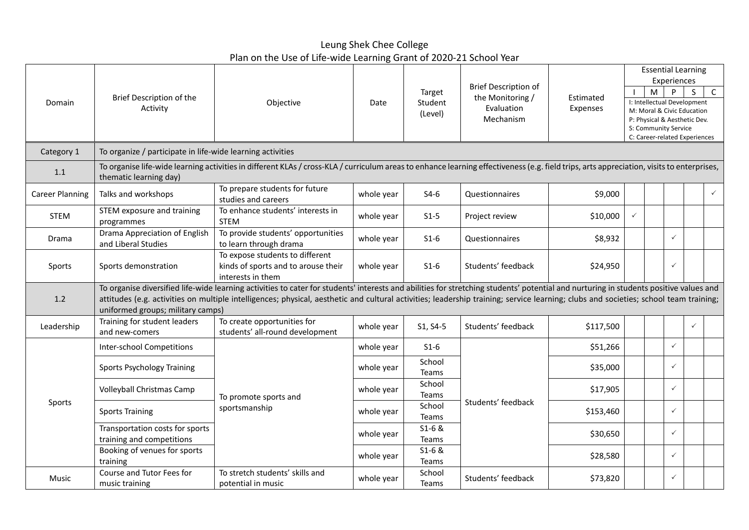Leung Shek Chee College Plan on the Use of Life-wide Learning Grant of 2020-21 School Year

|                        | Brief Description of the<br>Objective<br>Activity                                                                                                                                                                                                                                                                                                                                                                  |                                                                                             |                              |                                                                            |                       |                                                                                                                                                                                   | <b>Essential Learning</b><br>Experiences |              |              |              |              |
|------------------------|--------------------------------------------------------------------------------------------------------------------------------------------------------------------------------------------------------------------------------------------------------------------------------------------------------------------------------------------------------------------------------------------------------------------|---------------------------------------------------------------------------------------------|------------------------------|----------------------------------------------------------------------------|-----------------------|-----------------------------------------------------------------------------------------------------------------------------------------------------------------------------------|------------------------------------------|--------------|--------------|--------------|--------------|
| Domain                 |                                                                                                                                                                                                                                                                                                                                                                                                                    | Date                                                                                        | Target<br>Student<br>(Level) | <b>Brief Description of</b><br>the Monitoring /<br>Evaluation<br>Mechanism | Estimated<br>Expenses | $\mathsf{C}$<br>M<br>P<br>S<br>I: Intellectual Development<br>M: Moral & Civic Education<br>P: Physical & Aesthetic Dev.<br>S: Community Service<br>C: Career-related Experiences |                                          |              |              |              |              |
| Category 1             | To organize / participate in life-wide learning activities                                                                                                                                                                                                                                                                                                                                                         |                                                                                             |                              |                                                                            |                       |                                                                                                                                                                                   |                                          |              |              |              |              |
| 1.1                    | To organise life-wide learning activities in different KLAs / cross-KLA / curriculum areas to enhance learning effectiveness (e.g. field trips, arts appreciation, visits to enterprises,<br>thematic learning day)                                                                                                                                                                                                |                                                                                             |                              |                                                                            |                       |                                                                                                                                                                                   |                                          |              |              |              |              |
| <b>Career Planning</b> | Talks and workshops                                                                                                                                                                                                                                                                                                                                                                                                | To prepare students for future<br>studies and careers                                       | whole year                   | $S4-6$                                                                     | Questionnaires        | \$9,000                                                                                                                                                                           |                                          |              |              |              | $\checkmark$ |
| <b>STEM</b>            | STEM exposure and training<br>programmes                                                                                                                                                                                                                                                                                                                                                                           | To enhance students' interests in<br><b>STEM</b>                                            | whole year                   | $S1-5$                                                                     | Project review        | \$10,000                                                                                                                                                                          | ✓                                        |              |              |              |              |
| Drama                  | Drama Appreciation of English<br>and Liberal Studies                                                                                                                                                                                                                                                                                                                                                               | To provide students' opportunities<br>to learn through drama                                | whole year                   | $S1-6$                                                                     | Questionnaires        | \$8,932                                                                                                                                                                           |                                          |              | $\checkmark$ |              |              |
| Sports                 | Sports demonstration                                                                                                                                                                                                                                                                                                                                                                                               | To expose students to different<br>kinds of sports and to arouse their<br>interests in them | whole year                   | $S1-6$                                                                     | Students' feedback    | \$24,950                                                                                                                                                                          |                                          |              | $\checkmark$ |              |              |
| 1.2                    | To organise diversified life-wide learning activities to cater for students' interests and abilities for stretching students' potential and nurturing in students positive values and<br>attitudes (e.g. activities on multiple intelligences; physical, aesthetic and cultural activities; leadership training; service learning; clubs and societies; school team training;<br>uniformed groups; military camps) |                                                                                             |                              |                                                                            |                       |                                                                                                                                                                                   |                                          |              |              |              |              |
| Leadership             | Training for student leaders<br>and new-comers                                                                                                                                                                                                                                                                                                                                                                     | To create opportunities for<br>students' all-round development                              | whole year                   | S1, S4-5                                                                   | Students' feedback    | \$117,500                                                                                                                                                                         |                                          |              |              | $\checkmark$ |              |
| Sports                 | <b>Inter-school Competitions</b>                                                                                                                                                                                                                                                                                                                                                                                   |                                                                                             | whole year                   | $S1-6$                                                                     |                       | \$51,266                                                                                                                                                                          |                                          |              | $\checkmark$ |              |              |
|                        | Sports Psychology Training<br>Volleyball Christmas Camp<br>To promote sports and                                                                                                                                                                                                                                                                                                                                   | whole year                                                                                  | School<br>Teams              |                                                                            | \$35,000              |                                                                                                                                                                                   |                                          | $\checkmark$ |              |              |              |
|                        |                                                                                                                                                                                                                                                                                                                                                                                                                    | whole year                                                                                  | School<br>Teams              |                                                                            | \$17,905              |                                                                                                                                                                                   |                                          | $\checkmark$ |              |              |              |
|                        | <b>Sports Training</b>                                                                                                                                                                                                                                                                                                                                                                                             | sportsmanship                                                                               | whole year                   | School<br>Teams                                                            | Students' feedback    | \$153,460                                                                                                                                                                         |                                          |              | $\checkmark$ |              |              |
|                        | Transportation costs for sports<br>training and competitions                                                                                                                                                                                                                                                                                                                                                       |                                                                                             | whole year                   | $S1 - 6 &$<br>Teams                                                        |                       | \$30,650                                                                                                                                                                          |                                          |              | $\checkmark$ |              |              |
|                        | Booking of venues for sports<br>training                                                                                                                                                                                                                                                                                                                                                                           |                                                                                             | whole year                   | $S1 - 6 &$<br>Teams                                                        |                       | \$28,580                                                                                                                                                                          |                                          |              | $\checkmark$ |              |              |
| Music                  | Course and Tutor Fees for<br>music training                                                                                                                                                                                                                                                                                                                                                                        | To stretch students' skills and<br>potential in music                                       | whole year                   | School<br>Teams                                                            | Students' feedback    | \$73,820                                                                                                                                                                          |                                          |              | $\checkmark$ |              |              |